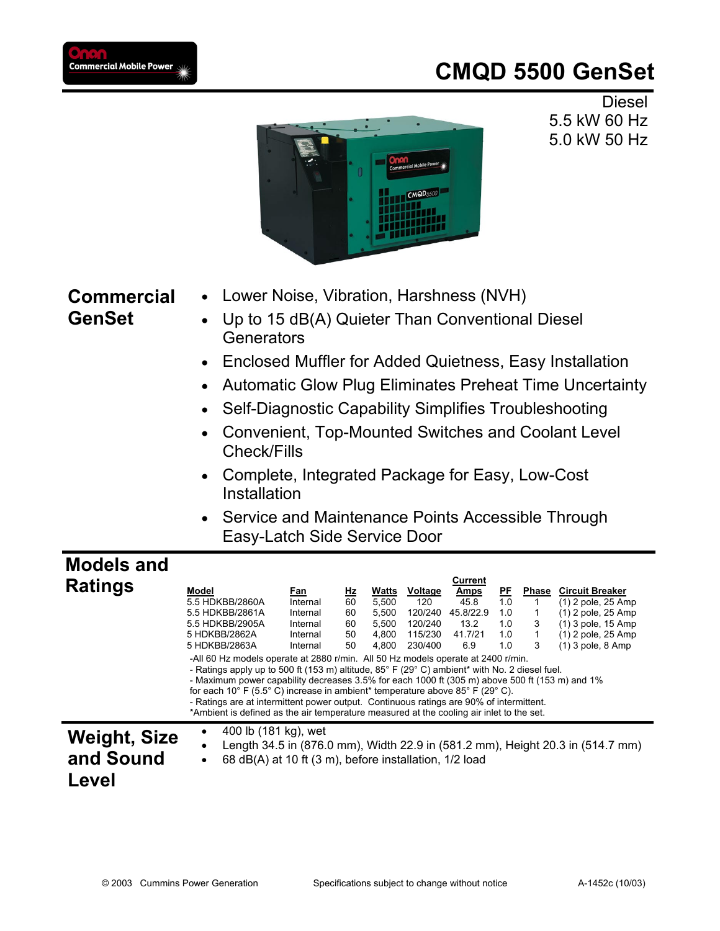## **CMQD 5500 GenSet**



Diesel 5.5 kW 60 Hz 5.0 kW 50 Hz

- **Commercial GenSet**
	- Lower Noise, Vibration, Harshness (NVH) • Up to 15 dB(A) Quieter Than Conventional Diesel
	- **Generators**
	- Enclosed Muffler for Added Quietness, Easy Installation
	- Automatic Glow Plug Eliminates Preheat Time Uncertainty
	- Self-Diagnostic Capability Simplifies Troubleshooting
	- Convenient, Top-Mounted Switches and Coolant Level Check/Fills
	- Complete, Integrated Package for Easy, Low-Cost Installation
	- Service and Maintenance Points Accessible Through Easy-Latch Side Service Door

## **Models and**

|                     |                                                                                                                                                                                                                                                                                                                                                                                                                                                                                                                                                                      |            |           |       |         | Current     |           |       |                                                                                |
|---------------------|----------------------------------------------------------------------------------------------------------------------------------------------------------------------------------------------------------------------------------------------------------------------------------------------------------------------------------------------------------------------------------------------------------------------------------------------------------------------------------------------------------------------------------------------------------------------|------------|-----------|-------|---------|-------------|-----------|-------|--------------------------------------------------------------------------------|
| <b>Ratings</b>      | Model                                                                                                                                                                                                                                                                                                                                                                                                                                                                                                                                                                | <u>Fan</u> | <u>Hz</u> | Watts | Voltage | <u>Amps</u> | <u>PF</u> | Phase | <b>Circuit Breaker</b>                                                         |
|                     | 5.5 HDKBB/2860A                                                                                                                                                                                                                                                                                                                                                                                                                                                                                                                                                      | Internal   | 60        | 5.500 | 120     | 45.8        | 1.0       |       | (1) 2 pole, 25 Amp                                                             |
|                     | 5.5 HDKBB/2861A                                                                                                                                                                                                                                                                                                                                                                                                                                                                                                                                                      | Internal   | 60        | 5,500 | 120/240 | 45.8/22.9   | 1.0       |       | (1) 2 pole, 25 Amp                                                             |
|                     | 5.5 HDKBB/2905A                                                                                                                                                                                                                                                                                                                                                                                                                                                                                                                                                      | Internal   | 60        | 5.500 | 120/240 | 13.2        | 1.0       | 3     | (1) 3 pole, 15 Amp                                                             |
|                     | 5 HDKBB/2862A                                                                                                                                                                                                                                                                                                                                                                                                                                                                                                                                                        | Internal   | 50        | 4.800 | 115/230 | 41.7/21     | 1.0       |       | (1) 2 pole, 25 Amp                                                             |
|                     | 5 HDKBB/2863A                                                                                                                                                                                                                                                                                                                                                                                                                                                                                                                                                        | Internal   | 50        | 4,800 | 230/400 | 6.9         | 1.0       | 3     | $(1)$ 3 pole, 8 Amp                                                            |
|                     | -All 60 Hz models operate at 2880 r/min. All 50 Hz models operate at 2400 r/min.<br>- Ratings apply up to 500 ft (153 m) altitude, 85° F (29° C) ambient* with No. 2 diesel fuel.<br>- Maximum power capability decreases 3.5% for each 1000 ft (305 m) above 500 ft (153 m) and 1%<br>for each 10° F (5.5° C) increase in ambient* temperature above $85^{\circ}$ F (29° C).<br>- Ratings are at intermittent power output. Continuous ratings are 90% of intermittent.<br>*Ambient is defined as the air temperature measured at the cooling air inlet to the set. |            |           |       |         |             |           |       |                                                                                |
| <b>Weight, Size</b> | 400 lb (181 kg), wet                                                                                                                                                                                                                                                                                                                                                                                                                                                                                                                                                 |            |           |       |         |             |           |       |                                                                                |
|                     |                                                                                                                                                                                                                                                                                                                                                                                                                                                                                                                                                                      |            |           |       |         |             |           |       | Length 34.5 in (876.0 mm), Width 22.9 in (581.2 mm), Height 20.3 in (514.7 mm) |
| and Sound           | 68 dB(A) at 10 ft (3 m), before installation, 1/2 load                                                                                                                                                                                                                                                                                                                                                                                                                                                                                                               |            |           |       |         |             |           |       |                                                                                |
|                     |                                                                                                                                                                                                                                                                                                                                                                                                                                                                                                                                                                      |            |           |       |         |             |           |       |                                                                                |
| Level               |                                                                                                                                                                                                                                                                                                                                                                                                                                                                                                                                                                      |            |           |       |         |             |           |       |                                                                                |
|                     |                                                                                                                                                                                                                                                                                                                                                                                                                                                                                                                                                                      |            |           |       |         |             |           |       |                                                                                |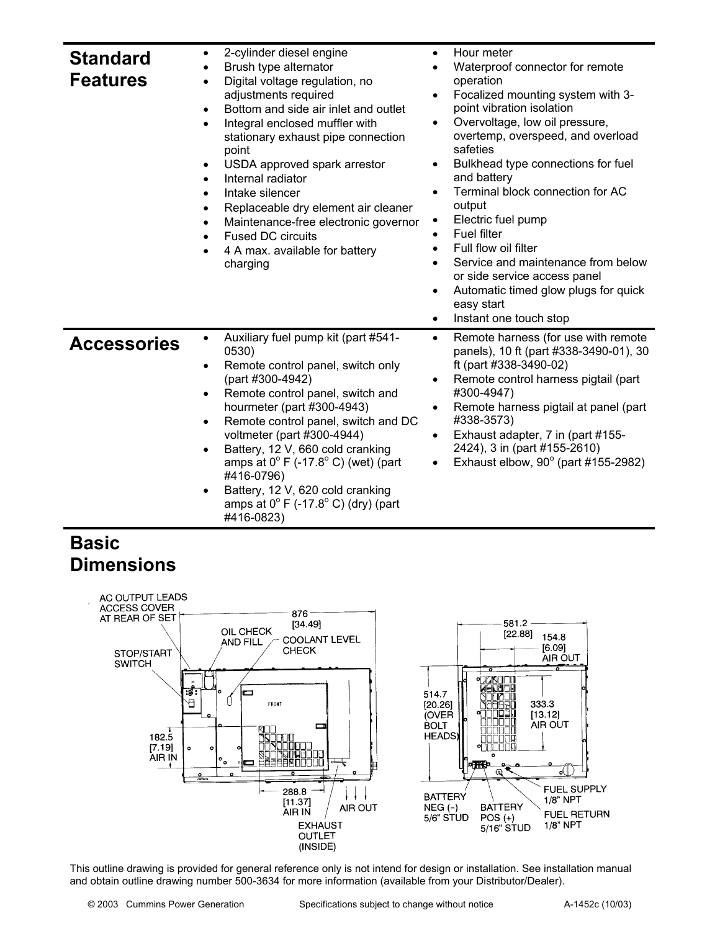| <b>Standard</b><br><b>Features</b> | 2-cylinder diesel engine<br>$\bullet$<br>Brush type alternator<br>$\bullet$<br>Digital voltage regulation, no<br>$\bullet$<br>adjustments required<br>Bottom and side air inlet and outlet<br>$\bullet$<br>Integral enclosed muffler with<br>$\bullet$<br>stationary exhaust pipe connection<br>point<br>USDA approved spark arrestor<br>$\bullet$<br>Internal radiator<br>$\bullet$<br>Intake silencer<br>$\bullet$<br>Replaceable dry element air cleaner<br>$\bullet$<br>Maintenance-free electronic governor<br>$\bullet$<br><b>Fused DC circuits</b><br>$\bullet$<br>4 A max. available for battery<br>charging | Hour meter<br>$\bullet$<br>Waterproof connector for remote<br>operation<br>Focalized mounting system with 3-<br>point vibration isolation<br>Overvoltage, low oil pressure,<br>$\bullet$<br>overtemp, overspeed, and overload<br>safeties<br>Bulkhead type connections for fuel<br>$\bullet$<br>and battery<br>Terminal block connection for AC<br>output<br>Electric fuel pump<br><b>Fuel filter</b><br>$\bullet$<br>Full flow oil filter<br>$\bullet$<br>Service and maintenance from below<br>$\bullet$<br>or side service access panel<br>Automatic timed glow plugs for quick<br>$\bullet$<br>easy start<br>Instant one touch stop<br>$\bullet$ |
|------------------------------------|----------------------------------------------------------------------------------------------------------------------------------------------------------------------------------------------------------------------------------------------------------------------------------------------------------------------------------------------------------------------------------------------------------------------------------------------------------------------------------------------------------------------------------------------------------------------------------------------------------------------|------------------------------------------------------------------------------------------------------------------------------------------------------------------------------------------------------------------------------------------------------------------------------------------------------------------------------------------------------------------------------------------------------------------------------------------------------------------------------------------------------------------------------------------------------------------------------------------------------------------------------------------------------|
| <b>Accessories</b>                 | Auxiliary fuel pump kit (part #541-<br>0530)<br>Remote control panel, switch only<br>$\bullet$<br>(part #300-4942)<br>Remote control panel, switch and<br>$\bullet$<br>hourmeter (part #300-4943)<br>Remote control panel, switch and DC<br>$\bullet$<br>voltmeter (part #300-4944)<br>Battery, 12 V, 660 cold cranking<br>$\bullet$<br>amps at $0^{\circ}$ F (-17.8°C) (wet) (part<br>#416-0796)<br>Battery, 12 V, 620 cold cranking<br>amps at $0^{\circ}$ F (-17.8° C) (dry) (part<br>#416-0823)                                                                                                                  | Remote harness (for use with remote<br>$\bullet$<br>panels), 10 ft (part #338-3490-01), 30<br>ft (part #338-3490-02)<br>Remote control harness pigtail (part<br>$\bullet$<br>#300-4947)<br>Remote harness pigtail at panel (part<br>#338-3573)<br>Exhaust adapter, 7 in (part #155-<br>٠<br>2424), 3 in (part #155-2610)<br>Exhaust elbow, $90^\circ$ (part #155-2982)<br>$\bullet$                                                                                                                                                                                                                                                                  |

## **Basic Dimensions**



This outline drawing is provided for general reference only is not intend for design or installation. See installation manual and obtain outline drawing number 500-3634 for more information (available from your Distributor/Dealer).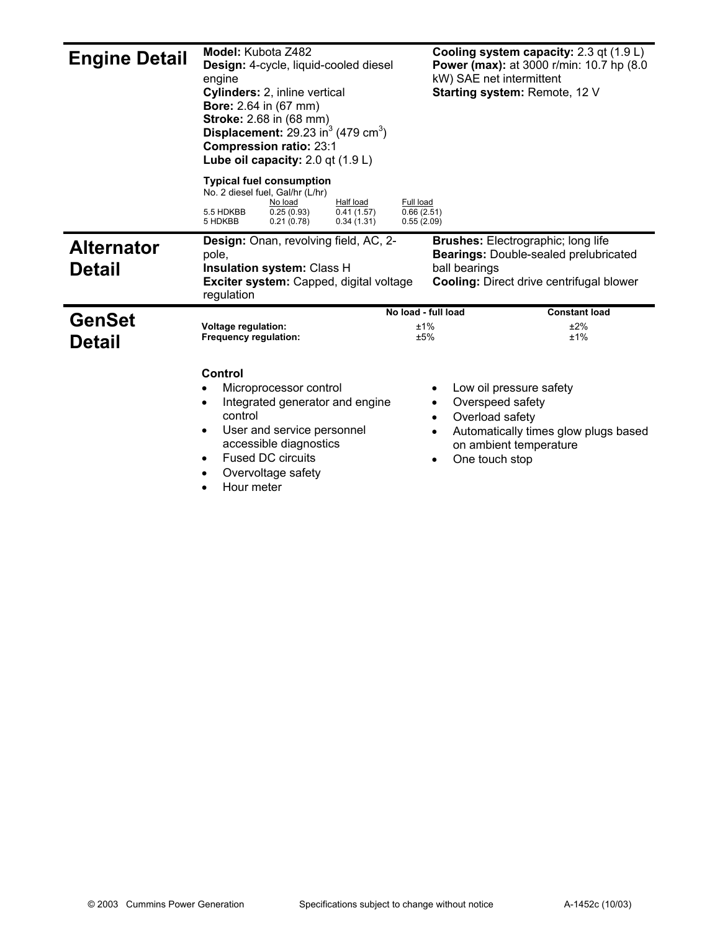| <b>Engine Detail</b>               | <b>Model:</b> Kubota Z482<br>Design: 4-cycle, liquid-cooled diesel<br>engine<br>Cylinders: 2, inline vertical<br><b>Bore:</b> 2.64 in (67 mm)<br><b>Stroke:</b> 2.68 in (68 mm)<br>Displacement: $29.23 \text{ in}^3 (479 \text{ cm}^3)$<br><b>Compression ratio: 23:1</b><br>Lube oil capacity: $2.0$ qt $(1.9 L)$ | kW) SAE net intermittent                                                        | Cooling system capacity: 2.3 qt (1.9 L)<br><b>Power (max):</b> at 3000 r/min: 10.7 hp (8.0)<br>Starting system: Remote, 12 V                 |
|------------------------------------|---------------------------------------------------------------------------------------------------------------------------------------------------------------------------------------------------------------------------------------------------------------------------------------------------------------------|---------------------------------------------------------------------------------|----------------------------------------------------------------------------------------------------------------------------------------------|
|                                    | <b>Typical fuel consumption</b><br>No. 2 diesel fuel, Gal/hr (L/hr)<br>Half load<br>No load<br>0.41(1.57)<br>5.5 HDKBB<br>0.25(0.93)<br>5 HDKBB<br>0.21(0.78)<br>0.34(1.31)                                                                                                                                         | Full load<br>0.66(2.51)<br>0.55(2.09)                                           |                                                                                                                                              |
| <b>Alternator</b><br><b>Detail</b> | Design: Onan, revolving field, AC, 2-<br>pole,<br>Insulation system: Class H<br><b>Exciter system:</b> Capped, digital voltage<br>regulation                                                                                                                                                                        | ball bearings                                                                   | <b>Brushes:</b> Electrographic; long life<br><b>Bearings: Double-sealed prelubricated</b><br><b>Cooling: Direct drive centrifugal blower</b> |
| <b>GenSet</b><br><b>Detail</b>     | <b>Voltage regulation:</b><br><b>Frequency regulation:</b>                                                                                                                                                                                                                                                          | No load - full load<br>±1%<br>±5%                                               | <b>Constant load</b><br>±2%<br>±1%                                                                                                           |
|                                    | Control<br>Microprocessor control<br>Integrated generator and engine<br>$\bullet$<br>control<br>User and service personnel<br>$\bullet$<br>accessible diagnostics<br><b>Fused DC circuits</b><br>Overvoltage safety<br>Hour meter                                                                                   | Overspeed safety<br>Overload safety<br>$\bullet$<br>One touch stop<br>$\bullet$ | Low oil pressure safety<br>Automatically times glow plugs based<br>on ambient temperature                                                    |